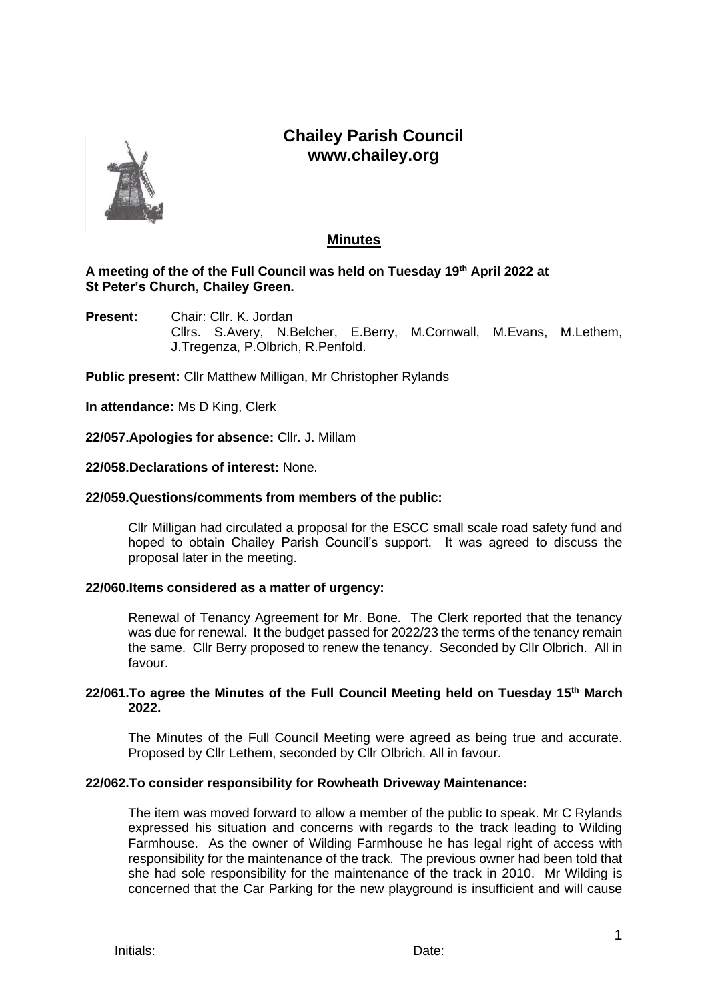# **Chailey Parish Council www.chailey.org**



## **Minutes**

## **A meeting of the of the Full Council was held on Tuesday 19th April 2022 at St Peter's Church, Chailey Green.**

**Present:** Chair: Cllr. K. Jordan Cllrs. S.Avery, N.Belcher, E.Berry, M.Cornwall, M.Evans, M.Lethem, J.Tregenza, P.Olbrich, R.Penfold.

**Public present:** Cllr Matthew Milligan, Mr Christopher Rylands

**In attendance:** Ms D King, Clerk

**22/057.Apologies for absence:** Cllr. J. Millam

## **22/058.Declarations of interest:** None.

#### **22/059.Questions/comments from members of the public:**

Cllr Milligan had circulated a proposal for the ESCC small scale road safety fund and hoped to obtain Chailey Parish Council's support. It was agreed to discuss the proposal later in the meeting.

#### **22/060.Items considered as a matter of urgency:**

Renewal of Tenancy Agreement for Mr. Bone. The Clerk reported that the tenancy was due for renewal. It the budget passed for 2022/23 the terms of the tenancy remain the same. Cllr Berry proposed to renew the tenancy. Seconded by Cllr Olbrich. All in favour.

## **22/061.To agree the Minutes of the Full Council Meeting held on Tuesday 15th March 2022.**

The Minutes of the Full Council Meeting were agreed as being true and accurate. Proposed by Cllr Lethem, seconded by Cllr Olbrich. All in favour.

#### **22/062.To consider responsibility for Rowheath Driveway Maintenance:**

The item was moved forward to allow a member of the public to speak. Mr C Rylands expressed his situation and concerns with regards to the track leading to Wilding Farmhouse. As the owner of Wilding Farmhouse he has legal right of access with responsibility for the maintenance of the track. The previous owner had been told that she had sole responsibility for the maintenance of the track in 2010. Mr Wilding is concerned that the Car Parking for the new playground is insufficient and will cause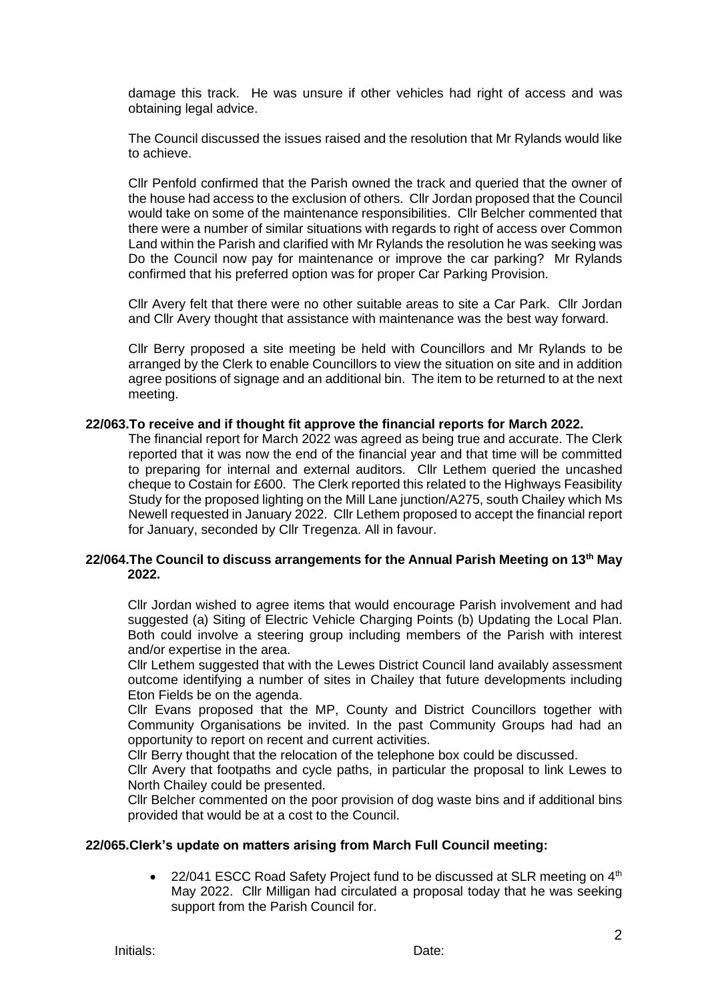damage this track. He was unsure if other vehicles had right of access and was obtaining legal advice.

The Council discussed the issues raised and the resolution that Mr Rylands would like to achieve.

Cllr Penfold confirmed that the Parish owned the track and queried that the owner of the house had access to the exclusion of others. Cllr Jordan proposed that the Council would take on some of the maintenance responsibilities. Cllr Belcher commented that there were a number of similar situations with regards to right of access over Common Land within the Parish and clarified with Mr Rylands the resolution he was seeking was Do the Council now pay for maintenance or improve the car parking? Mr Rylands confirmed that his preferred option was for proper Car Parking Provision.

Cllr Avery felt that there were no other suitable areas to site a Car Park. Cllr Jordan and Cllr Avery thought that assistance with maintenance was the best way forward.

Cllr Berry proposed a site meeting be held with Councillors and Mr Rylands to be arranged by the Clerk to enable Councillors to view the situation on site and in addition agree positions of signage and an additional bin. The item to be returned to at the next meeting.

#### **22/063.To receive and if thought fit approve the financial reports for March 2022.**

The financial report for March 2022 was agreed as being true and accurate. The Clerk reported that it was now the end of the financial year and that time will be committed to preparing for internal and external auditors. Cllr Lethem queried the uncashed cheque to Costain for £600. The Clerk reported this related to the Highways Feasibility Study for the proposed lighting on the Mill Lane junction/A275, south Chailey which Ms Newell requested in January 2022. Cllr Lethem proposed to accept the financial report for January, seconded by Cllr Tregenza. All in favour.

## **22/064.The Council to discuss arrangements for the Annual Parish Meeting on 13th May 2022.**

Cllr Jordan wished to agree items that would encourage Parish involvement and had suggested (a) Siting of Electric Vehicle Charging Points (b) Updating the Local Plan. Both could involve a steering group including members of the Parish with interest and/or expertise in the area.

Cllr Lethem suggested that with the Lewes District Council land availably assessment outcome identifying a number of sites in Chailey that future developments including Eton Fields be on the agenda.

Cllr Evans proposed that the MP, County and District Councillors together with Community Organisations be invited. In the past Community Groups had had an opportunity to report on recent and current activities.

Cllr Berry thought that the relocation of the telephone box could be discussed.

Cllr Avery that footpaths and cycle paths, in particular the proposal to link Lewes to North Chailey could be presented.

Cllr Belcher commented on the poor provision of dog waste bins and if additional bins provided that would be at a cost to the Council.

#### **22/065.Clerk's update on matters arising from March Full Council meeting:**

22/041 ESCC Road Safety Project fund to be discussed at SLR meeting on  $4<sup>th</sup>$ May 2022. Cllr Milligan had circulated a proposal today that he was seeking support from the Parish Council for.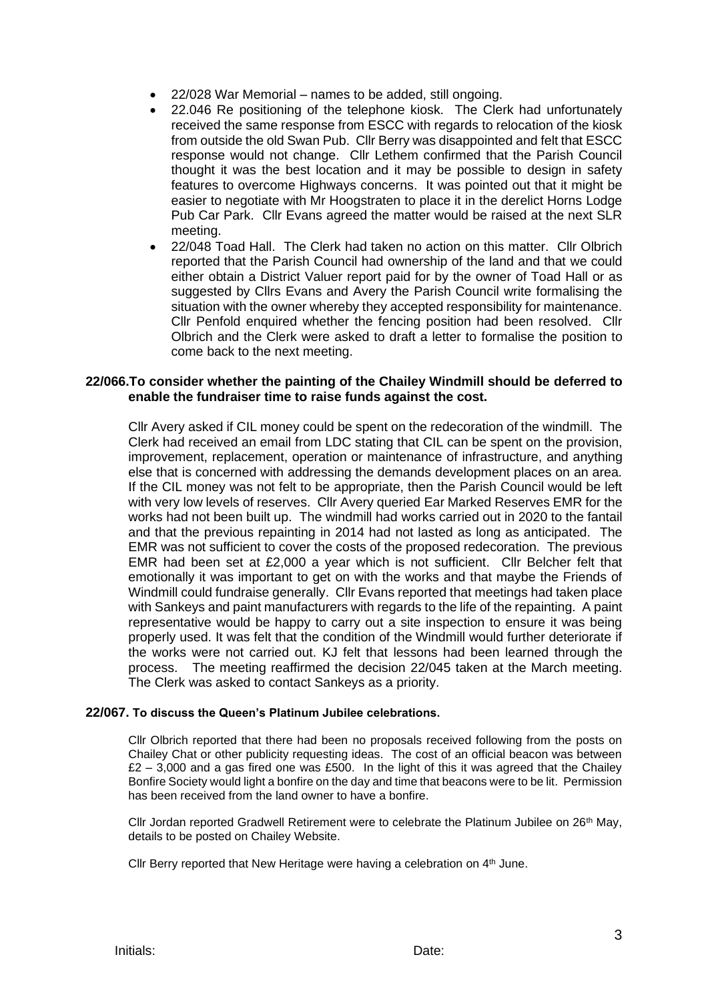- 22/028 War Memorial names to be added, still ongoing.
- 22.046 Re positioning of the telephone kiosk. The Clerk had unfortunately received the same response from ESCC with regards to relocation of the kiosk from outside the old Swan Pub. Cllr Berry was disappointed and felt that ESCC response would not change. Cllr Lethem confirmed that the Parish Council thought it was the best location and it may be possible to design in safety features to overcome Highways concerns. It was pointed out that it might be easier to negotiate with Mr Hoogstraten to place it in the derelict Horns Lodge Pub Car Park. Cllr Evans agreed the matter would be raised at the next SLR meeting.
- 22/048 Toad Hall. The Clerk had taken no action on this matter. Cllr Olbrich reported that the Parish Council had ownership of the land and that we could either obtain a District Valuer report paid for by the owner of Toad Hall or as suggested by Cllrs Evans and Avery the Parish Council write formalising the situation with the owner whereby they accepted responsibility for maintenance. Cllr Penfold enquired whether the fencing position had been resolved. Cllr Olbrich and the Clerk were asked to draft a letter to formalise the position to come back to the next meeting.

## **22/066.To consider whether the painting of the Chailey Windmill should be deferred to enable the fundraiser time to raise funds against the cost.**

Cllr Avery asked if CIL money could be spent on the redecoration of the windmill. The Clerk had received an email from LDC stating that CIL can be spent on the provision, improvement, replacement, operation or maintenance of infrastructure, and anything else that is concerned with addressing the demands development places on an area. If the CIL money was not felt to be appropriate, then the Parish Council would be left with very low levels of reserves. Cllr Avery queried Ear Marked Reserves EMR for the works had not been built up. The windmill had works carried out in 2020 to the fantail and that the previous repainting in 2014 had not lasted as long as anticipated. The EMR was not sufficient to cover the costs of the proposed redecoration. The previous EMR had been set at £2,000 a year which is not sufficient. Cllr Belcher felt that emotionally it was important to get on with the works and that maybe the Friends of Windmill could fundraise generally. Cllr Evans reported that meetings had taken place with Sankeys and paint manufacturers with regards to the life of the repainting. A paint representative would be happy to carry out a site inspection to ensure it was being properly used. It was felt that the condition of the Windmill would further deteriorate if the works were not carried out. KJ felt that lessons had been learned through the process. The meeting reaffirmed the decision 22/045 taken at the March meeting. The Clerk was asked to contact Sankeys as a priority.

#### **22/067. To discuss the Queen's Platinum Jubilee celebrations.**

Cllr Olbrich reported that there had been no proposals received following from the posts on Chailey Chat or other publicity requesting ideas. The cost of an official beacon was between  $£2 - 3,000$  and a gas fired one was £500. In the light of this it was agreed that the Chailey Bonfire Society would light a bonfire on the day and time that beacons were to be lit. Permission has been received from the land owner to have a bonfire.

Cllr Jordan reported Gradwell Retirement were to celebrate the Platinum Jubilee on 26<sup>th</sup> May, details to be posted on Chailey Website.

Cllr Berry reported that New Heritage were having a celebration on 4<sup>th</sup> June.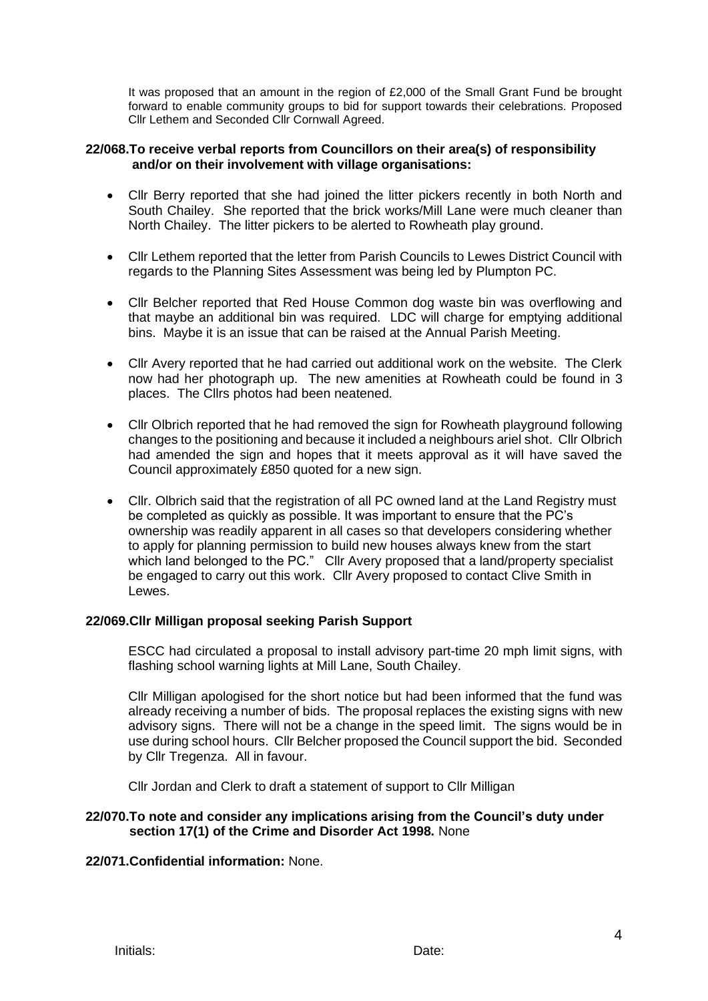It was proposed that an amount in the region of £2,000 of the Small Grant Fund be brought forward to enable community groups to bid for support towards their celebrations. Proposed Cllr Lethem and Seconded Cllr Cornwall Agreed.

## **22/068.To receive verbal reports from Councillors on their area(s) of responsibility and/or on their involvement with village organisations:**

- Cllr Berry reported that she had joined the litter pickers recently in both North and South Chailey. She reported that the brick works/Mill Lane were much cleaner than North Chailey. The litter pickers to be alerted to Rowheath play ground.
- Cllr Lethem reported that the letter from Parish Councils to Lewes District Council with regards to the Planning Sites Assessment was being led by Plumpton PC.
- Cllr Belcher reported that Red House Common dog waste bin was overflowing and that maybe an additional bin was required. LDC will charge for emptying additional bins. Maybe it is an issue that can be raised at the Annual Parish Meeting.
- Cllr Avery reported that he had carried out additional work on the website. The Clerk now had her photograph up. The new amenities at Rowheath could be found in 3 places. The Cllrs photos had been neatened.
- Cllr Olbrich reported that he had removed the sign for Rowheath playground following changes to the positioning and because it included a neighbours ariel shot. Cllr Olbrich had amended the sign and hopes that it meets approval as it will have saved the Council approximately £850 quoted for a new sign.
- Cllr. Olbrich said that the registration of all PC owned land at the Land Registry must be completed as quickly as possible. It was important to ensure that the PC's ownership was readily apparent in all cases so that developers considering whether to apply for planning permission to build new houses always knew from the start which land belonged to the PC." Cllr Avery proposed that a land/property specialist be engaged to carry out this work. Cllr Avery proposed to contact Clive Smith in Lewes.

## **22/069.Cllr Milligan proposal seeking Parish Support**

ESCC had circulated a proposal to install advisory part-time 20 mph limit signs, with flashing school warning lights at Mill Lane, South Chailey.

Cllr Milligan apologised for the short notice but had been informed that the fund was already receiving a number of bids. The proposal replaces the existing signs with new advisory signs. There will not be a change in the speed limit. The signs would be in use during school hours. Cllr Belcher proposed the Council support the bid. Seconded by Cllr Tregenza. All in favour.

Cllr Jordan and Clerk to draft a statement of support to Cllr Milligan

## **22/070.To note and consider any implications arising from the Council's duty under section 17(1) of the Crime and Disorder Act 1998.** None

## **22/071.Confidential information:** None.